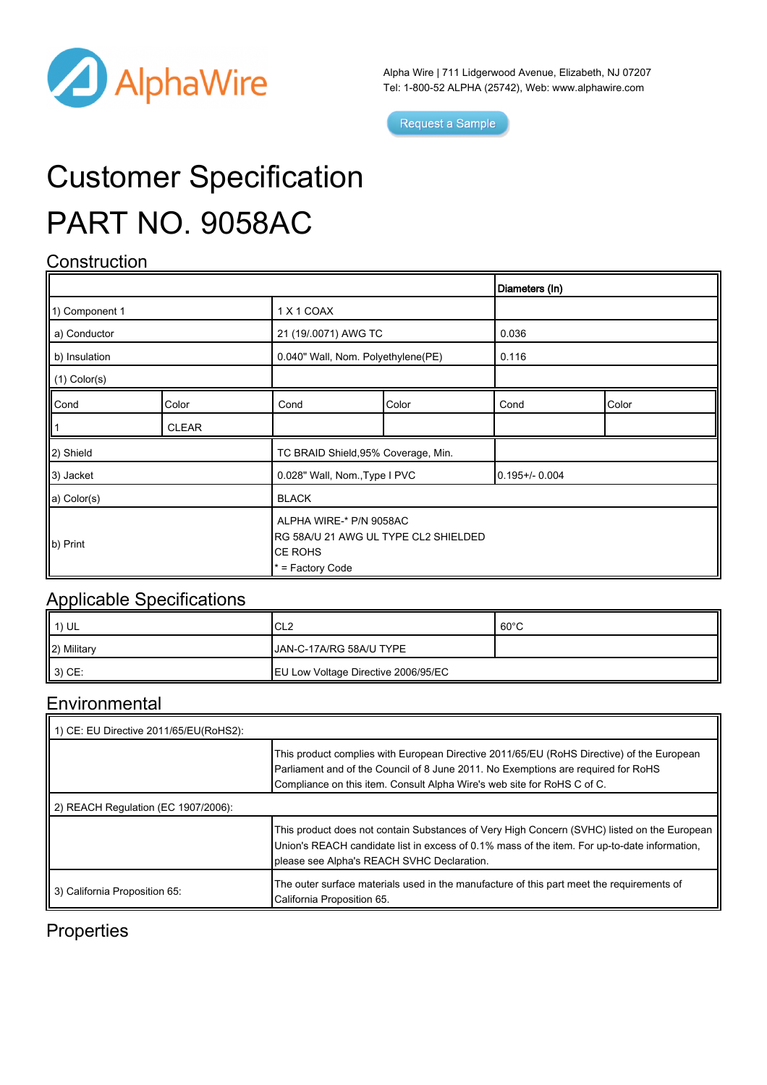

Alpha Wire | 711 Lidgerwood Avenue, Elizabeth, NJ 07207 Tel: 1-800-52 ALPHA (25742), Web: [www.alphawire.com](http://www.alphawire.com)

Request a Sample

# Customer Specification PART NO. 9058AC

## **Construction**

|                       |              |                                                                                                |       | Diameters (In)    |       |
|-----------------------|--------------|------------------------------------------------------------------------------------------------|-------|-------------------|-------|
| 1) Component 1        |              | 1 X 1 COAX                                                                                     |       |                   |       |
| a) Conductor          |              | 21 (19/.0071) AWG TC                                                                           |       | 0.036             |       |
| b) Insulation         |              | 0.040" Wall, Nom. Polyethylene(PE)                                                             |       | 0.116             |       |
| $(1)$ Color(s)        |              |                                                                                                |       |                   |       |
| Cond                  | Color        | Cond                                                                                           | Color | Cond              | Color |
|                       | <b>CLEAR</b> |                                                                                                |       |                   |       |
| 2) Shield             |              | TC BRAID Shield, 95% Coverage, Min.                                                            |       |                   |       |
| 3) Jacket             |              | 0.028" Wall, Nom., Type I PVC                                                                  |       | $0.195 + - 0.004$ |       |
| a) Color(s)           |              | <b>BLACK</b>                                                                                   |       |                   |       |
| $\vert\vert$ b) Print |              | ALPHA WIRE-* P/N 9058AC<br>RG 58A/U 21 AWG UL TYPE CL2 SHIELDED<br>CE ROHS<br>* = Factory Code |       |                   |       |

#### Applicable Specifications

| 1) UL           | ICL2                                | $60^{\circ}$ C |
|-----------------|-------------------------------------|----------------|
| 2) Military     | JAN-C-17A/RG 58A/U TYPE             |                |
| $ 3\rangle$ CE: | EU Low Voltage Directive 2006/95/EC |                |

#### Environmental

| 1) CE: EU Directive 2011/65/EU(RoHS2): |                                                                                                                                                                                                                                                           |  |  |  |
|----------------------------------------|-----------------------------------------------------------------------------------------------------------------------------------------------------------------------------------------------------------------------------------------------------------|--|--|--|
|                                        | This product complies with European Directive 2011/65/EU (RoHS Directive) of the European<br>Parliament and of the Council of 8 June 2011. No Exemptions are required for RoHS<br>Compliance on this item. Consult Alpha Wire's web site for RoHS C of C. |  |  |  |
| 2) REACH Regulation (EC 1907/2006):    |                                                                                                                                                                                                                                                           |  |  |  |
|                                        | This product does not contain Substances of Very High Concern (SVHC) listed on the European<br>Union's REACH candidate list in excess of 0.1% mass of the item. For up-to-date information,<br>please see Alpha's REACH SVHC Declaration.                 |  |  |  |
| 3) California Proposition 65:          | The outer surface materials used in the manufacture of this part meet the requirements of<br>California Proposition 65.                                                                                                                                   |  |  |  |

### **Properties**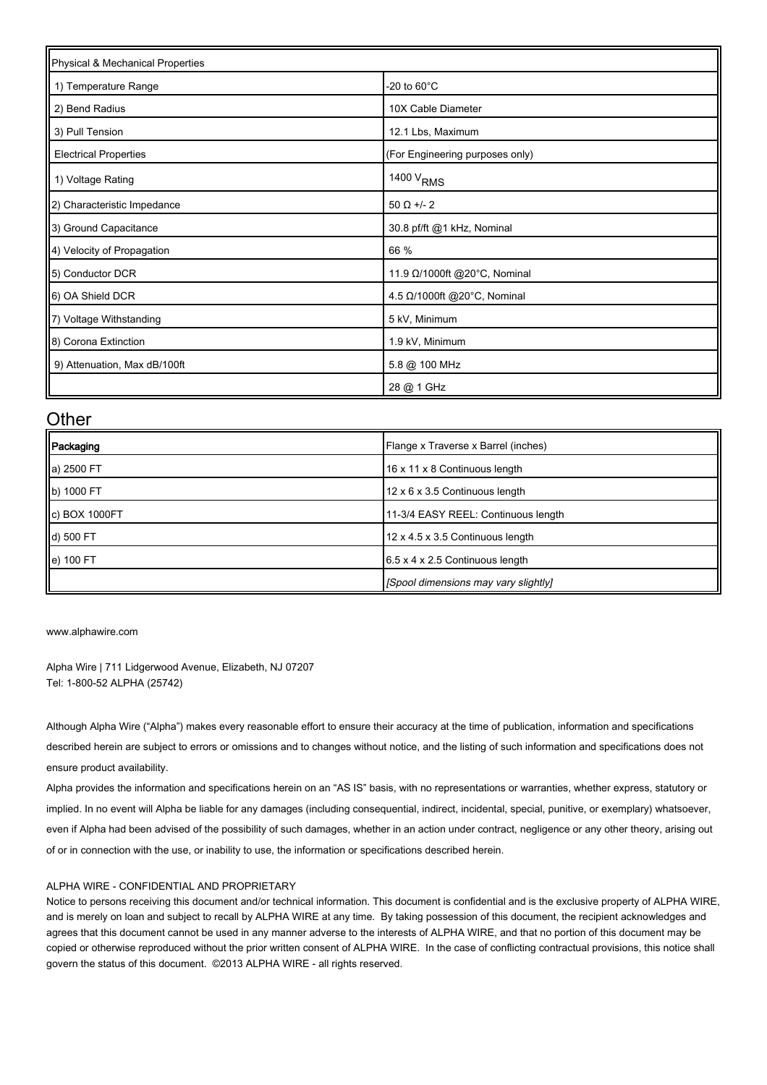| Physical & Mechanical Properties |                                 |  |  |  |
|----------------------------------|---------------------------------|--|--|--|
| 1) Temperature Range             | -20 to $60^{\circ}$ C           |  |  |  |
| 2) Bend Radius                   | 10X Cable Diameter              |  |  |  |
| 3) Pull Tension                  | 12.1 Lbs, Maximum               |  |  |  |
| <b>Electrical Properties</b>     | (For Engineering purposes only) |  |  |  |
| 1) Voltage Rating                | 1400 V <sub>RMS</sub>           |  |  |  |
| 2) Characteristic Impedance      | $50 \Omega +12$                 |  |  |  |
| 3) Ground Capacitance            | 30.8 pf/ft @1 kHz, Nominal      |  |  |  |
| 4) Velocity of Propagation       | 66 %                            |  |  |  |
| 5) Conductor DCR                 | 11.9 Ω/1000ft @20°C, Nominal    |  |  |  |
| 6) OA Shield DCR                 | 4.5 Ω/1000ft @20°C, Nominal     |  |  |  |
| 7) Voltage Withstanding          | 5 kV, Minimum                   |  |  |  |
| 8) Corona Extinction             | 1.9 kV, Minimum                 |  |  |  |
| 9) Attenuation, Max dB/100ft     | 5.8 @ 100 MHz                   |  |  |  |
|                                  | 28 @ 1 GHz                      |  |  |  |

#### **Other**

| Packaging                 | Flange x Traverse x Barrel (inches)         |
|---------------------------|---------------------------------------------|
| a) 2500 FT                | 16 x 11 x 8 Continuous length               |
| b) 1000 FT                | 12 x 6 x 3.5 Continuous length              |
| $\parallel$ c) BOX 1000FT | 11-3/4 EASY REEL: Continuous length         |
| d) 500 FT                 | 12 x 4.5 x 3.5 Continuous length            |
| $\parallel$ e) 100 FT     | $6.5 \times 4 \times 2.5$ Continuous length |
|                           | [Spool dimensions may vary slightly]        |

[www.alphawire.com](http://www.alphawire.com)

Alpha Wire | 711 Lidgerwood Avenue, Elizabeth, NJ 07207 Tel: 1-800-52 ALPHA (25742)

Although Alpha Wire ("Alpha") makes every reasonable effort to ensure their accuracy at the time of publication, information and specifications described herein are subject to errors or omissions and to changes without notice, and the listing of such information and specifications does not ensure product availability.

Alpha provides the information and specifications herein on an "AS IS" basis, with no representations or warranties, whether express, statutory or implied. In no event will Alpha be liable for any damages (including consequential, indirect, incidental, special, punitive, or exemplary) whatsoever, even if Alpha had been advised of the possibility of such damages, whether in an action under contract, negligence or any other theory, arising out of or in connection with the use, or inability to use, the information or specifications described herein.

#### ALPHA WIRE - CONFIDENTIAL AND PROPRIETARY

Notice to persons receiving this document and/or technical information. This document is confidential and is the exclusive property of ALPHA WIRE, and is merely on loan and subject to recall by ALPHA WIRE at any time. By taking possession of this document, the recipient acknowledges and agrees that this document cannot be used in any manner adverse to the interests of ALPHA WIRE, and that no portion of this document may be copied or otherwise reproduced without the prior written consent of ALPHA WIRE. In the case of conflicting contractual provisions, this notice shall govern the status of this document. ©2013 ALPHA WIRE - all rights reserved.